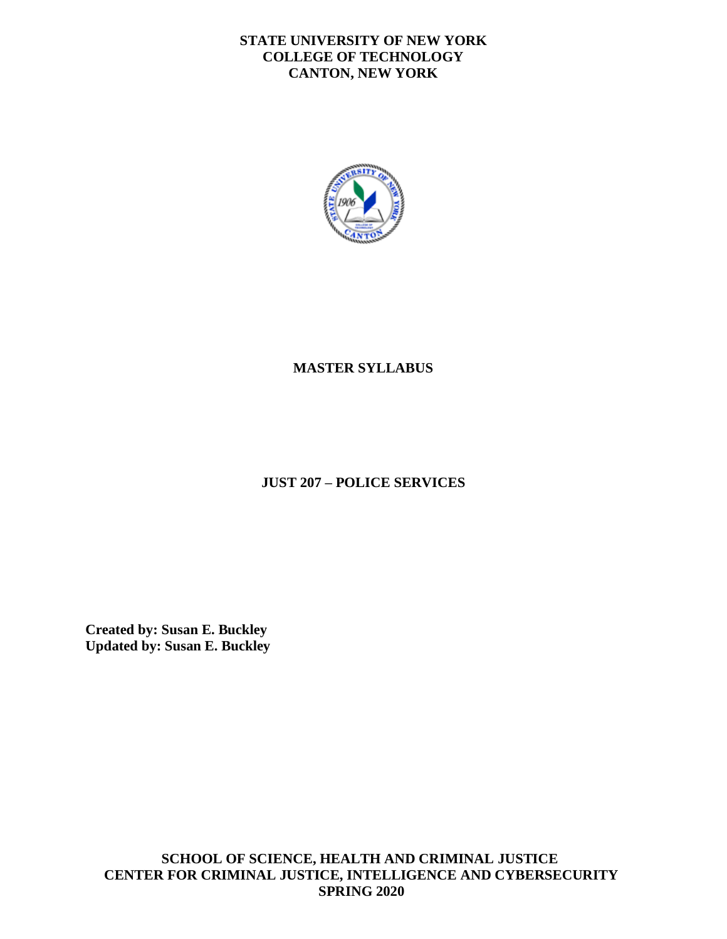# **STATE UNIVERSITY OF NEW YORK COLLEGE OF TECHNOLOGY CANTON, NEW YORK**



# **MASTER SYLLABUS**

# **JUST 207 – POLICE SERVICES**

**Created by: Susan E. Buckley Updated by: Susan E. Buckley** 

**SCHOOL OF SCIENCE, HEALTH AND CRIMINAL JUSTICE CENTER FOR CRIMINAL JUSTICE, INTELLIGENCE AND CYBERSECURITY SPRING 2020**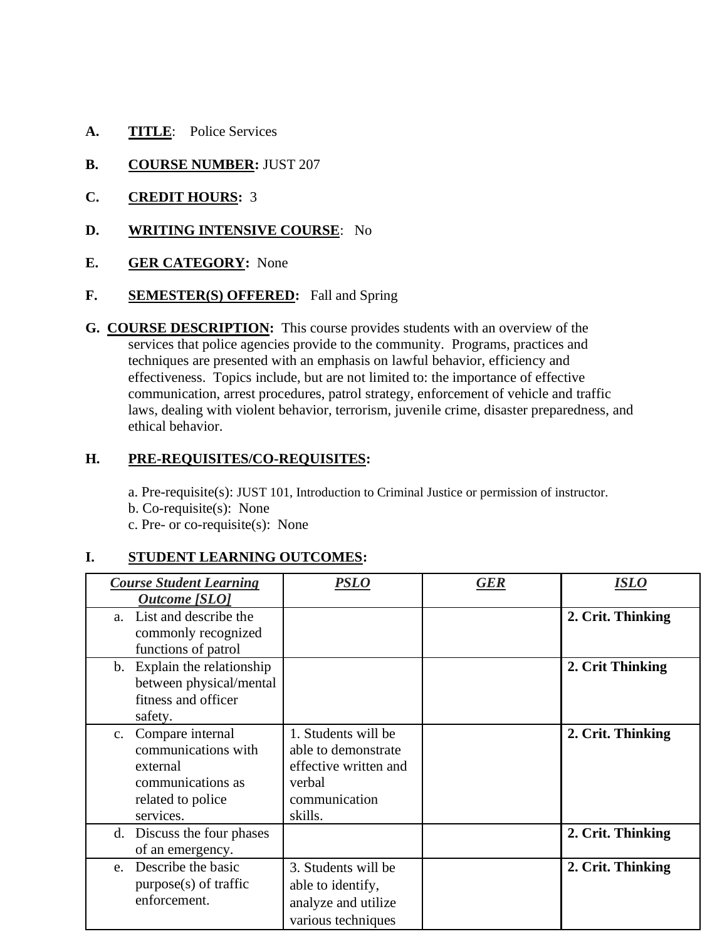- **A. TITLE**: Police Services
- **B. COURSE NUMBER: JUST 207**
- **C. CREDIT HOURS:** 3
- **D. WRITING INTENSIVE COURSE**: No
- **E. GER CATEGORY:** None
- F. **SEMESTER(S) OFFERED:** Fall and Spring
- ethical behavior. **G. COURSE DESCRIPTION:** This course provides students with an overview of the services that police agencies provide to the community. Programs, practices and techniques are presented with an emphasis on lawful behavior, efficiency and effectiveness. Topics include, but are not limited to: the importance of effective communication, arrest procedures, patrol strategy, enforcement of vehicle and traffic laws, dealing with violent behavior, terrorism, juvenile crime, disaster preparedness, and

### **H. PRE-REQUISITES/CO-REQUISITES:**

a. Pre-requisite(s): JUST 101, Introduction to Criminal Justice or permission of instructor.

b. Co-requisite(s): None

c. Pre- or co-requisite(s): None

# **I. STUDENT LEARNING OUTCOMES:**

| <b>Course Student Learning</b><br><b>Outcome</b> [SLO]                                                        | PSLO                                                                                                      | <b>GER</b> | <b>ISLO</b>       |
|---------------------------------------------------------------------------------------------------------------|-----------------------------------------------------------------------------------------------------------|------------|-------------------|
| List and describe the<br>a.<br>commonly recognized<br>functions of patrol                                     |                                                                                                           |            | 2. Crit. Thinking |
| b. Explain the relationship<br>between physical/mental<br>fitness and officer<br>safety.                      |                                                                                                           |            | 2. Crit Thinking  |
| c. Compare internal<br>communications with<br>external<br>communications as<br>related to police<br>services. | 1. Students will be<br>able to demonstrate<br>effective written and<br>verbal<br>communication<br>skills. |            | 2. Crit. Thinking |
| Discuss the four phases<br>d.<br>of an emergency.                                                             |                                                                                                           |            | 2. Crit. Thinking |
| e. Describe the basic<br>$purpose(s)$ of traffic<br>enforcement.                                              | 3. Students will be<br>able to identify,<br>analyze and utilize<br>various techniques                     |            | 2. Crit. Thinking |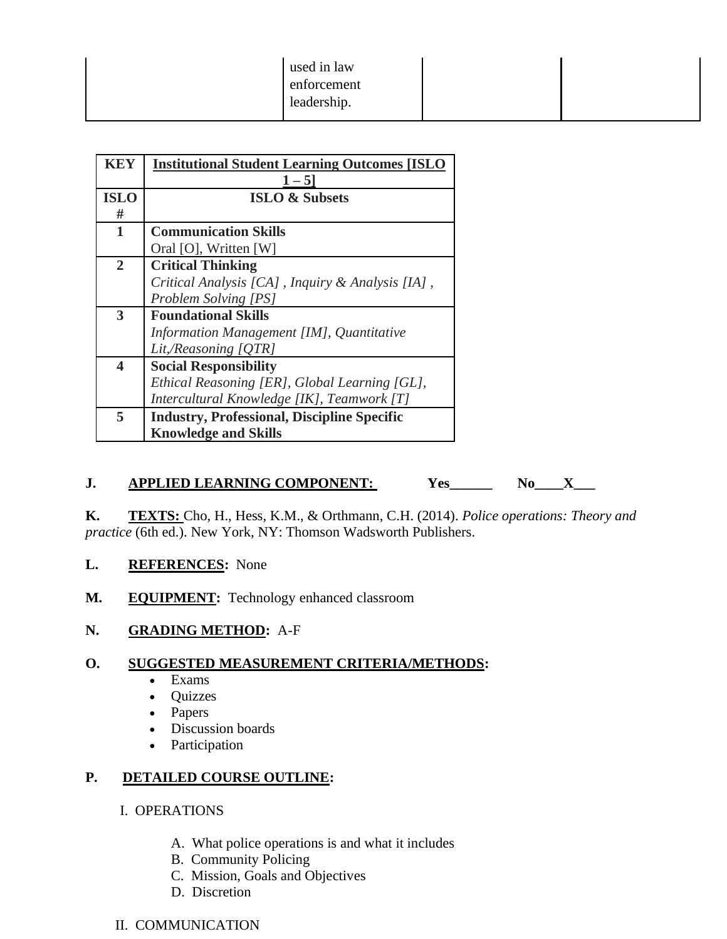| <b>KEY</b>              | <b>Institutional Student Learning Outcomes [ISLO</b><br>$1 - 5$ |  |  |
|-------------------------|-----------------------------------------------------------------|--|--|
| <b>ISLO</b>             | <b>ISLO &amp; Subsets</b>                                       |  |  |
| #                       |                                                                 |  |  |
| $\mathbf{1}$            | <b>Communication Skills</b>                                     |  |  |
|                         | Oral [O], Written [W]                                           |  |  |
| $\overline{2}$          | <b>Critical Thinking</b>                                        |  |  |
|                         | Critical Analysis [CA], Inquiry & Analysis [IA],                |  |  |
|                         | Problem Solving [PS]                                            |  |  |
| 3                       | <b>Foundational Skills</b>                                      |  |  |
|                         | Information Management [IM], Quantitative                       |  |  |
|                         | Lit,/Reasoning [QTR]                                            |  |  |
| $\overline{\mathbf{4}}$ | <b>Social Responsibility</b>                                    |  |  |
|                         | Ethical Reasoning [ER], Global Learning [GL],                   |  |  |
|                         | Intercultural Knowledge [IK], Teamwork [T]                      |  |  |
| 5                       | <b>Industry, Professional, Discipline Specific</b>              |  |  |
|                         | <b>Knowledge and Skills</b>                                     |  |  |

**J. APPLIED LEARNING COMPONENT:** Yes\_\_\_\_\_\_ No\_\_\_X\_\_\_<br>**K.** TEXTS: Cho, H., Hess, K.M., & Orthmann, C.H. (2014). *Police operations: Theory and practice* (6th ed.). New York, NY: Thomson Wadsworth Publishers.

- **L. REFERENCES:** None
- M. EQUIPMENT: Technology enhanced classroom

# **N. GRADING METHOD:** A-F

# **O. SUGGESTED MEASUREMENT CRITERIA/METHODS:**

- Exams
- Quizzes
- Papers
- Discussion boards
- Participation

# **P. DETAILED COURSE OUTLINE:**

#### I. OPERATIONS

- A. What police operations is and what it includes
- B. Community Policing
- C. Mission, Goals and Objectives
- D. Discretion

# II. COMMUNICATION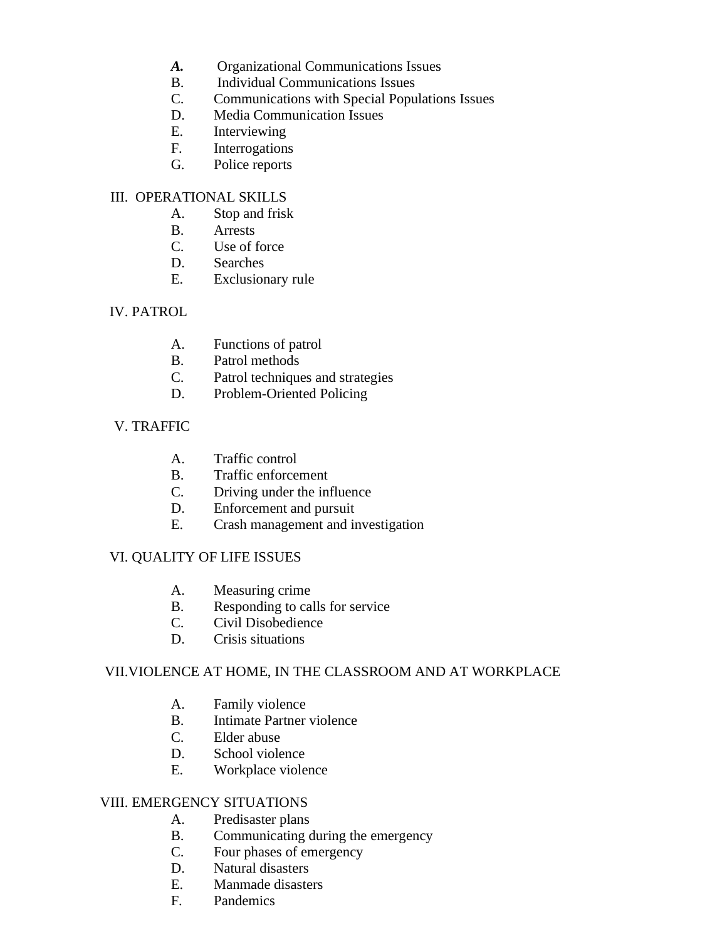- *A.* Organizational Communications Issues
- B. Individual Communications Issues
- C. Communications with Special Populations Issues
- D. Media Communication Issues<br>E. Interviewing
- Interviewing
- F. Interrogations
- G. Police reports

# III. OPERATIONAL SKILLS

- A. Stop and frisk
- B. Arrests
- C. Use of force
- D. Searches
- E. Exclusionary rule

### IV. PATROL

- A. Functions of patrol
- B. Patrol methods
- C. Patrol techniques and strategies
- D. Problem-Oriented Policing

### V. TRAFFIC

- A. Traffic control
- B. Traffic enforcement
- C. Driving under the influence
- D. Enforcement and pursuit
- E. Crash management and investigation

# VI. QUALITY OF LIFE ISSUES

- A. Measuring crime
- B. Responding to calls for service
- C. Civil Disobedience
- D. Crisis situations

# VII.VIOLENCE AT HOME, IN THE CLASSROOM AND AT WORKPLACE

- A. Family violence
- B. Intimate Partner violence
- C. Elder abuse
- D. School violence
- E. Workplace violence

#### VIII. EMERGENCY SITUATIONS

- A. Predisaster plans
- B. Communicating during the emergency
- C. Four phases of emergency
- D. Natural disasters
- E. Manmade disasters
- F. Pandemics